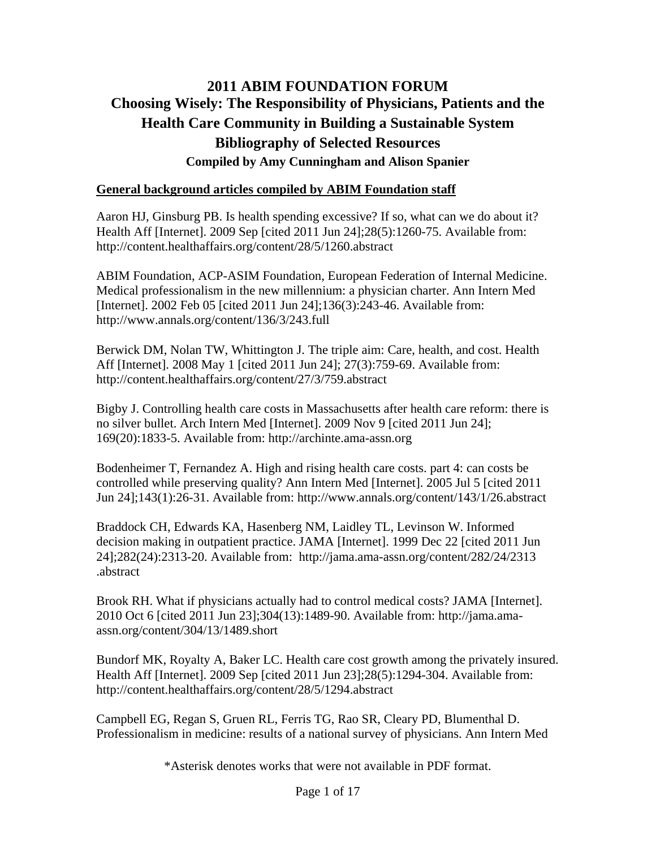# **2011 ABIM FOUNDATION FORUM Choosing Wisely: The Responsibility of Physicians, Patients and the Health Care Community in Building a Sustainable System Bibliography of Selected Resources Compiled by Amy Cunningham and Alison Spanier**

### **General background articles compiled by ABIM Foundation staff**

Aaron HJ, Ginsburg PB. Is health spending excessive? If so, what can we do about it? Health Aff [Internet]. 2009 Sep [cited 2011 Jun 24];28(5):1260-75. Available from: http://content.healthaffairs.org/content/28/5/1260.abstract

ABIM Foundation, ACP-ASIM Foundation, European Federation of Internal Medicine. Medical professionalism in the new millennium: a physician charter. Ann Intern Med [Internet]. 2002 Feb 05 [cited 2011 Jun 24];136(3):243-46. Available from: http://www.annals.org/content/136/3/243.full

Berwick DM, Nolan TW, Whittington J. The triple aim: Care, health, and cost. Health Aff [Internet]. 2008 May 1 [cited 2011 Jun 24]; 27(3):759-69. Available from: http://content.healthaffairs.org/content/27/3/759.abstract

Bigby J. Controlling health care costs in Massachusetts after health care reform: there is no silver bullet. Arch Intern Med [Internet]. 2009 Nov 9 [cited 2011 Jun 24]; 169(20):1833-5. Available from: http://archinte.ama-assn.org

Bodenheimer T, Fernandez A. High and rising health care costs. part 4: can costs be controlled while preserving quality? Ann Intern Med [Internet]. 2005 Jul 5 [cited 2011 Jun 24];143(1):26-31. Available from: http://www.annals.org/content/143/1/26.abstract

Braddock CH, Edwards KA, Hasenberg NM, Laidley TL, Levinson W. Informed decision making in outpatient practice. JAMA [Internet]. 1999 Dec 22 [cited 2011 Jun 24];282(24):2313-20. Available from: http://jama.ama-assn.org/content/282/24/2313 .abstract

Brook RH. What if physicians actually had to control medical costs? JAMA [Internet]. 2010 Oct 6 [cited 2011 Jun 23];304(13):1489-90. Available from: http://jama.amaassn.org/content/304/13/1489.short

Bundorf MK, Royalty A, Baker LC. Health care cost growth among the privately insured. Health Aff [Internet]. 2009 Sep [cited 2011 Jun 23];28(5):1294-304. Available from: http://content.healthaffairs.org/content/28/5/1294.abstract

Campbell EG, Regan S, Gruen RL, Ferris TG, Rao SR, Cleary PD, Blumenthal D. Professionalism in medicine: results of a national survey of physicians. Ann Intern Med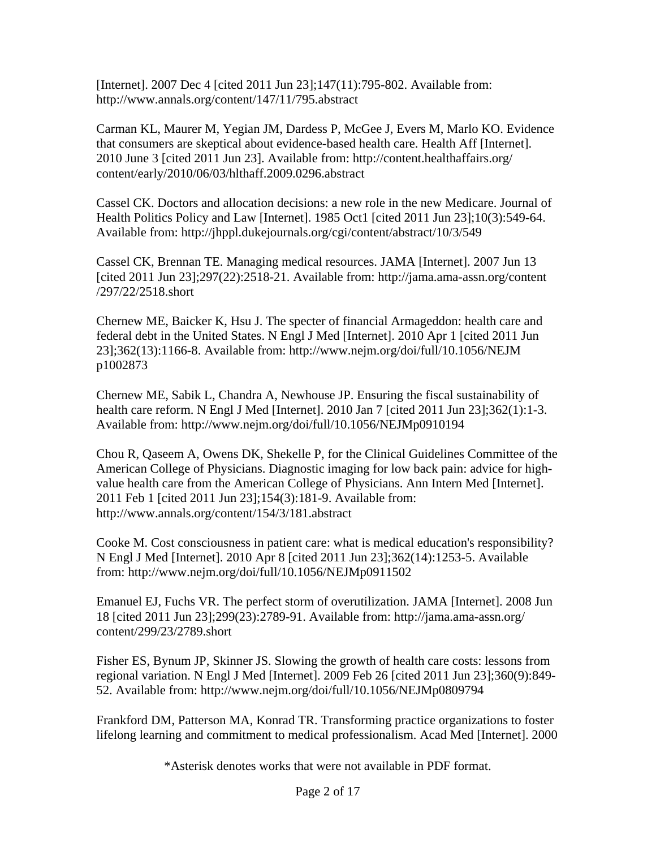[Internet]. 2007 Dec 4 [cited 2011 Jun 23];147(11):795-802. Available from: http://www.annals.org/content/147/11/795.abstract

Carman KL, Maurer M, Yegian JM, Dardess P, McGee J, Evers M, Marlo KO. Evidence that consumers are skeptical about evidence-based health care. Health Aff [Internet]. 2010 June 3 [cited 2011 Jun 23]. Available from: http://content.healthaffairs.org/ content/early/2010/06/03/hlthaff.2009.0296.abstract

Cassel CK. Doctors and allocation decisions: a new role in the new Medicare. Journal of Health Politics Policy and Law [Internet]. 1985 Oct1 [cited 2011 Jun 23];10(3):549-64. Available from: http://jhppl.dukejournals.org/cgi/content/abstract/10/3/549

Cassel CK, Brennan TE. Managing medical resources. JAMA [Internet]. 2007 Jun 13 [cited 2011 Jun 23];297(22):2518-21. Available from: http://jama.ama-assn.org/content /297/22/2518.short

Chernew ME, Baicker K, Hsu J. The specter of financial Armageddon: health care and federal debt in the United States. N Engl J Med [Internet]. 2010 Apr 1 [cited 2011 Jun 23];362(13):1166-8. Available from: http://www.nejm.org/doi/full/10.1056/NEJM p1002873

Chernew ME, Sabik L, Chandra A, Newhouse JP. Ensuring the fiscal sustainability of health care reform. N Engl J Med [Internet]. 2010 Jan 7 [cited 2011 Jun 23];362(1):1-3. Available from: http://www.nejm.org/doi/full/10.1056/NEJMp0910194

Chou R, Qaseem A, Owens DK, Shekelle P, for the Clinical Guidelines Committee of the American College of Physicians. Diagnostic imaging for low back pain: advice for highvalue health care from the American College of Physicians. Ann Intern Med [Internet]. 2011 Feb 1 [cited 2011 Jun 23];154(3):181-9. Available from: http://www.annals.org/content/154/3/181.abstract

Cooke M. Cost consciousness in patient care: what is medical education's responsibility? N Engl J Med [Internet]. 2010 Apr 8 [cited 2011 Jun 23];362(14):1253-5. Available from: http://www.nejm.org/doi/full/10.1056/NEJMp0911502

Emanuel EJ, Fuchs VR. The perfect storm of overutilization. JAMA [Internet]. 2008 Jun 18 [cited 2011 Jun 23];299(23):2789-91. Available from: http://jama.ama-assn.org/ content/299/23/2789.short

Fisher ES, Bynum JP, Skinner JS. Slowing the growth of health care costs: lessons from regional variation. N Engl J Med [Internet]. 2009 Feb 26 [cited 2011 Jun 23];360(9):849- 52. Available from: http://www.nejm.org/doi/full/10.1056/NEJMp0809794

Frankford DM, Patterson MA, Konrad TR. Transforming practice organizations to foster lifelong learning and commitment to medical professionalism. Acad Med [Internet]. 2000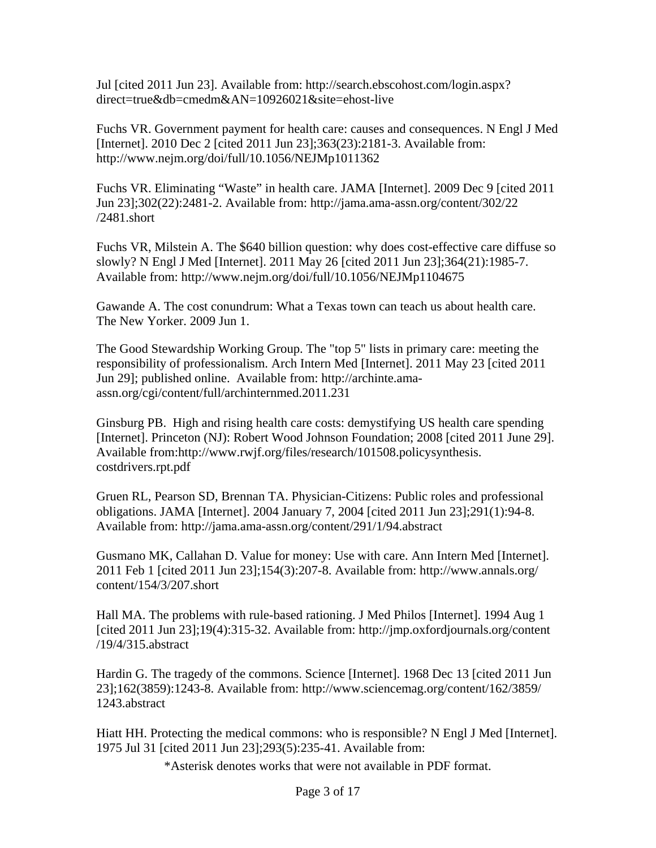Jul [cited 2011 Jun 23]. Available from: http://search.ebscohost.com/login.aspx? direct=true&db=cmedm&AN=10926021&site=ehost-live

Fuchs VR. Government payment for health care: causes and consequences. N Engl J Med [Internet]. 2010 Dec 2 [cited 2011 Jun 23];363(23):2181-3. Available from: http://www.nejm.org/doi/full/10.1056/NEJMp1011362

Fuchs VR. Eliminating "Waste" in health care. JAMA [Internet]. 2009 Dec 9 [cited 2011 Jun 23];302(22):2481-2. Available from: http://jama.ama-assn.org/content/302/22 /2481.short

Fuchs VR, Milstein A. The \$640 billion question: why does cost-effective care diffuse so slowly? N Engl J Med [Internet]. 2011 May 26 [cited 2011 Jun 23];364(21):1985-7. Available from: http://www.nejm.org/doi/full/10.1056/NEJMp1104675

Gawande A. The cost conundrum: What a Texas town can teach us about health care. The New Yorker. 2009 Jun 1.

The Good Stewardship Working Group. The "top 5" lists in primary care: meeting the responsibility of professionalism. Arch Intern Med [Internet]. 2011 May 23 [cited 2011 Jun 29]; published online. Available from: http://archinte.amaassn.org/cgi/content/full/archinternmed.2011.231

Ginsburg PB. High and rising health care costs: demystifying US health care spending [Internet]. Princeton (NJ): Robert Wood Johnson Foundation; 2008 [cited 2011 June 29]. Available from:http://www.rwjf.org/files/research/101508.policysynthesis. costdrivers.rpt.pdf

Gruen RL, Pearson SD, Brennan TA. Physician-Citizens: Public roles and professional obligations. JAMA [Internet]. 2004 January 7, 2004 [cited 2011 Jun 23];291(1):94-8. Available from: http://jama.ama-assn.org/content/291/1/94.abstract

Gusmano MK, Callahan D. Value for money: Use with care. Ann Intern Med [Internet]. 2011 Feb 1 [cited 2011 Jun 23];154(3):207-8. Available from: http://www.annals.org/ content/154/3/207.short

Hall MA. The problems with rule-based rationing. J Med Philos [Internet]. 1994 Aug 1 [cited 2011 Jun 23];19(4):315-32. Available from: http://jmp.oxfordjournals.org/content /19/4/315.abstract

Hardin G. The tragedy of the commons. Science [Internet]. 1968 Dec 13 [cited 2011 Jun 23];162(3859):1243-8. Available from: http://www.sciencemag.org/content/162/3859/ 1243.abstract

Hiatt HH. Protecting the medical commons: who is responsible? N Engl J Med [Internet]. 1975 Jul 31 [cited 2011 Jun 23];293(5):235-41. Available from: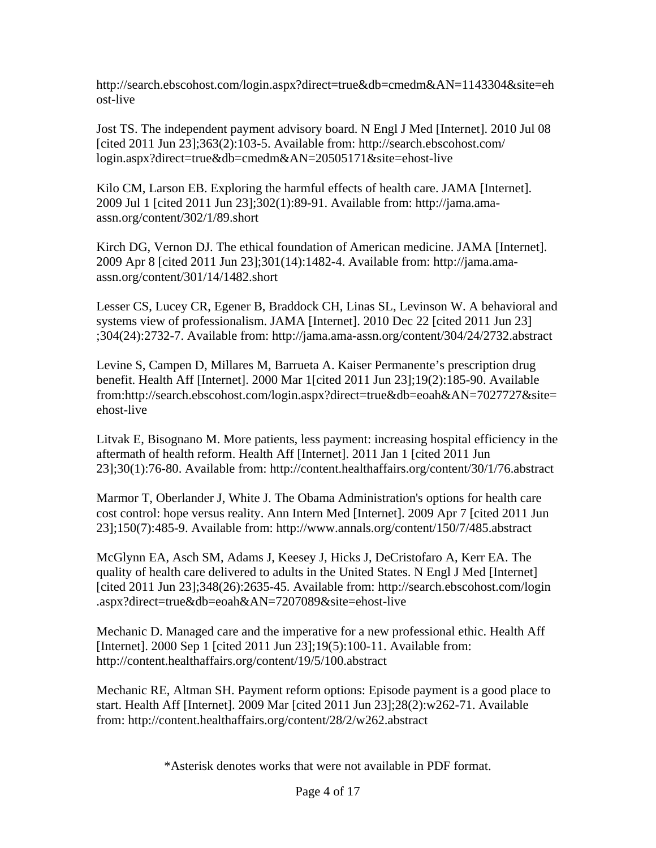http://search.ebscohost.com/login.aspx?direct=true&db=cmedm&AN=1143304&site=eh ost-live

Jost TS. The independent payment advisory board. N Engl J Med [Internet]. 2010 Jul 08 [cited 2011 Jun 23];363(2):103-5. Available from: http://search.ebscohost.com/ login.aspx?direct=true&db=cmedm&AN=20505171&site=ehost-live

Kilo CM, Larson EB. Exploring the harmful effects of health care. JAMA [Internet]. 2009 Jul 1 [cited 2011 Jun 23];302(1):89-91. Available from: http://jama.amaassn.org/content/302/1/89.short

Kirch DG, Vernon DJ. The ethical foundation of American medicine. JAMA [Internet]. 2009 Apr 8 [cited 2011 Jun 23];301(14):1482-4. Available from: http://jama.amaassn.org/content/301/14/1482.short

Lesser CS, Lucey CR, Egener B, Braddock CH, Linas SL, Levinson W. A behavioral and systems view of professionalism. JAMA [Internet]. 2010 Dec 22 [cited 2011 Jun 23] ;304(24):2732-7. Available from: http://jama.ama-assn.org/content/304/24/2732.abstract

Levine S, Campen D, Millares M, Barrueta A. Kaiser Permanente's prescription drug benefit. Health Aff [Internet]. 2000 Mar 1[cited 2011 Jun 23];19(2):185-90. Available from:http://search.ebscohost.com/login.aspx?direct=true&db=eoah&AN=7027727&site= ehost-live

Litvak E, Bisognano M. More patients, less payment: increasing hospital efficiency in the aftermath of health reform. Health Aff [Internet]. 2011 Jan 1 [cited 2011 Jun 23];30(1):76-80. Available from: http://content.healthaffairs.org/content/30/1/76.abstract

Marmor T, Oberlander J, White J. The Obama Administration's options for health care cost control: hope versus reality. Ann Intern Med [Internet]. 2009 Apr 7 [cited 2011 Jun 23];150(7):485-9. Available from: http://www.annals.org/content/150/7/485.abstract

McGlynn EA, Asch SM, Adams J, Keesey J, Hicks J, DeCristofaro A, Kerr EA. The quality of health care delivered to adults in the United States. N Engl J Med [Internet] [cited 2011 Jun 23];348(26):2635-45. Available from: http://search.ebscohost.com/login .aspx?direct=true&db=eoah&AN=7207089&site=ehost-live

Mechanic D. Managed care and the imperative for a new professional ethic. Health Aff [Internet]. 2000 Sep 1 [cited 2011 Jun 23];19(5):100-11. Available from: http://content.healthaffairs.org/content/19/5/100.abstract

Mechanic RE, Altman SH. Payment reform options: Episode payment is a good place to start. Health Aff [Internet]. 2009 Mar [cited 2011 Jun 23];28(2):w262-71. Available from: http://content.healthaffairs.org/content/28/2/w262.abstract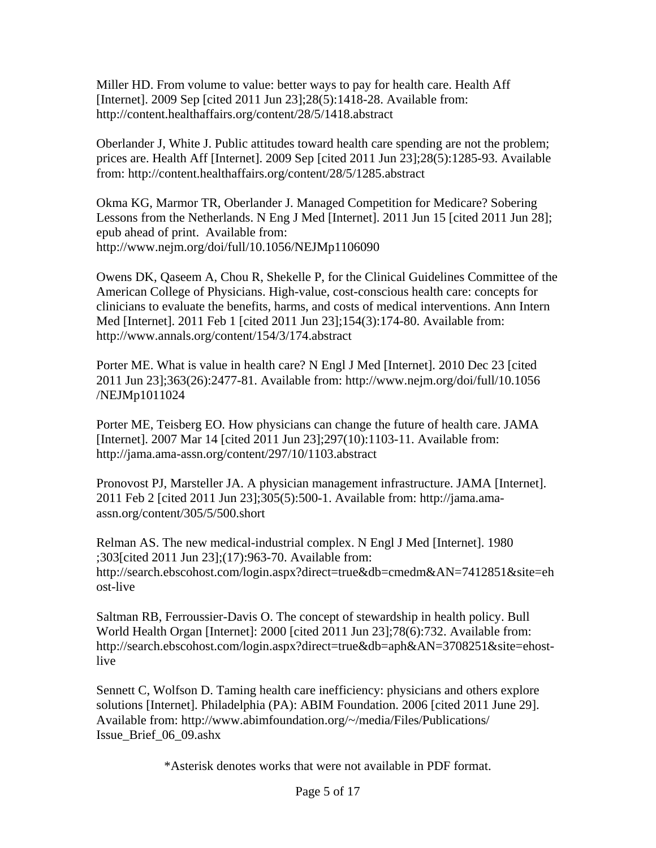Miller HD. From volume to value: better ways to pay for health care. Health Aff [Internet]. 2009 Sep [cited 2011 Jun 23];28(5):1418-28. Available from: http://content.healthaffairs.org/content/28/5/1418.abstract

Oberlander J, White J. Public attitudes toward health care spending are not the problem; prices are. Health Aff [Internet]. 2009 Sep [cited 2011 Jun 23];28(5):1285-93. Available from: http://content.healthaffairs.org/content/28/5/1285.abstract

Okma KG, Marmor TR, Oberlander J. Managed Competition for Medicare? Sobering Lessons from the Netherlands. N Eng J Med [Internet]. 2011 Jun 15 [cited 2011 Jun 28]; epub ahead of print. Available from: http://www.nejm.org/doi/full/10.1056/NEJMp1106090

Owens DK, Qaseem A, Chou R, Shekelle P, for the Clinical Guidelines Committee of the American College of Physicians. High-value, cost-conscious health care: concepts for clinicians to evaluate the benefits, harms, and costs of medical interventions. Ann Intern Med [Internet]. 2011 Feb 1 [cited 2011 Jun 23];154(3):174-80. Available from: http://www.annals.org/content/154/3/174.abstract

Porter ME. What is value in health care? N Engl J Med [Internet]. 2010 Dec 23 [cited 2011 Jun 23];363(26):2477-81. Available from: http://www.nejm.org/doi/full/10.1056 /NEJMp1011024

Porter ME, Teisberg EO. How physicians can change the future of health care. JAMA [Internet]. 2007 Mar 14 [cited 2011 Jun 23];297(10):1103-11. Available from: http://jama.ama-assn.org/content/297/10/1103.abstract

Pronovost PJ, Marsteller JA. A physician management infrastructure. JAMA [Internet]. 2011 Feb 2 [cited 2011 Jun 23];305(5):500-1. Available from: http://jama.amaassn.org/content/305/5/500.short

Relman AS. The new medical-industrial complex. N Engl J Med [Internet]. 1980 ;303[cited 2011 Jun 23];(17):963-70. Available from: http://search.ebscohost.com/login.aspx?direct=true&db=cmedm&AN=7412851&site=eh ost-live

Saltman RB, Ferroussier-Davis O. The concept of stewardship in health policy. Bull World Health Organ [Internet]: 2000 [cited 2011 Jun 23];78(6):732. Available from: http://search.ebscohost.com/login.aspx?direct=true&db=aph&AN=3708251&site=ehostlive

Sennett C, Wolfson D. Taming health care inefficiency: physicians and others explore solutions [Internet]. Philadelphia (PA): ABIM Foundation. 2006 [cited 2011 June 29]. Available from: http://www.abimfoundation.org/~/media/Files/Publications/ Issue\_Brief\_06\_09.ashx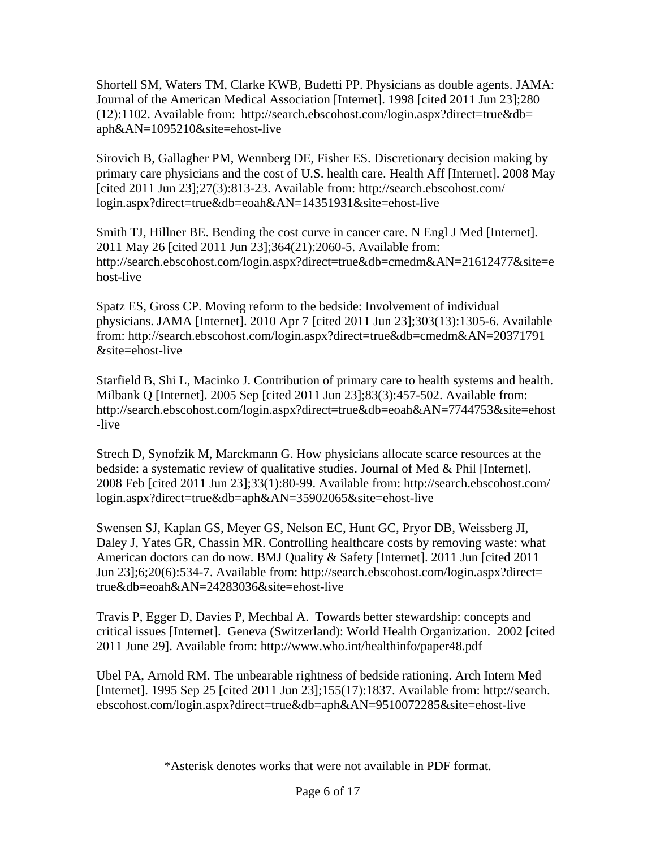Shortell SM, Waters TM, Clarke KWB, Budetti PP. Physicians as double agents. JAMA: Journal of the American Medical Association [Internet]. 1998 [cited 2011 Jun 23];280 (12):1102. Available from: http://search.ebscohost.com/login.aspx?direct=true&db= aph&AN=1095210&site=ehost-live

Sirovich B, Gallagher PM, Wennberg DE, Fisher ES. Discretionary decision making by primary care physicians and the cost of U.S. health care. Health Aff [Internet]. 2008 May [cited 2011 Jun 23];27(3):813-23. Available from: http://search.ebscohost.com/ login.aspx?direct=true&db=eoah&AN=14351931&site=ehost-live

Smith TJ, Hillner BE. Bending the cost curve in cancer care. N Engl J Med [Internet]. 2011 May 26 [cited 2011 Jun 23];364(21):2060-5. Available from: http://search.ebscohost.com/login.aspx?direct=true&db=cmedm&AN=21612477&site=e host-live

Spatz ES, Gross CP. Moving reform to the bedside: Involvement of individual physicians. JAMA [Internet]. 2010 Apr 7 [cited 2011 Jun 23];303(13):1305-6. Available from: http://search.ebscohost.com/login.aspx?direct=true&db=cmedm&AN=20371791 &site=ehost-live

Starfield B, Shi L, Macinko J. Contribution of primary care to health systems and health. Milbank Q [Internet]. 2005 Sep [cited 2011 Jun 23];83(3):457-502. Available from: http://search.ebscohost.com/login.aspx?direct=true&db=eoah&AN=7744753&site=ehost -live

Strech D, Synofzik M, Marckmann G. How physicians allocate scarce resources at the bedside: a systematic review of qualitative studies. Journal of Med & Phil [Internet]. 2008 Feb [cited 2011 Jun 23];33(1):80-99. Available from: http://search.ebscohost.com/ login.aspx?direct=true&db=aph&AN=35902065&site=ehost-live

Swensen SJ, Kaplan GS, Meyer GS, Nelson EC, Hunt GC, Pryor DB, Weissberg JI, Daley J, Yates GR, Chassin MR. Controlling healthcare costs by removing waste: what American doctors can do now. BMJ Quality & Safety [Internet]. 2011 Jun [cited 2011 Jun 23];6;20(6):534-7. Available from: http://search.ebscohost.com/login.aspx?direct= true&db=eoah&AN=24283036&site=ehost-live

Travis P, Egger D, Davies P, Mechbal A. Towards better stewardship: concepts and critical issues [Internet]. Geneva (Switzerland): World Health Organization. 2002 [cited 2011 June 29]. Available from: http://www.who.int/healthinfo/paper48.pdf

Ubel PA, Arnold RM. The unbearable rightness of bedside rationing. Arch Intern Med [Internet]. 1995 Sep 25 [cited 2011 Jun 23];155(17):1837. Available from: http://search. ebscohost.com/login.aspx?direct=true&db=aph&AN=9510072285&site=ehost-live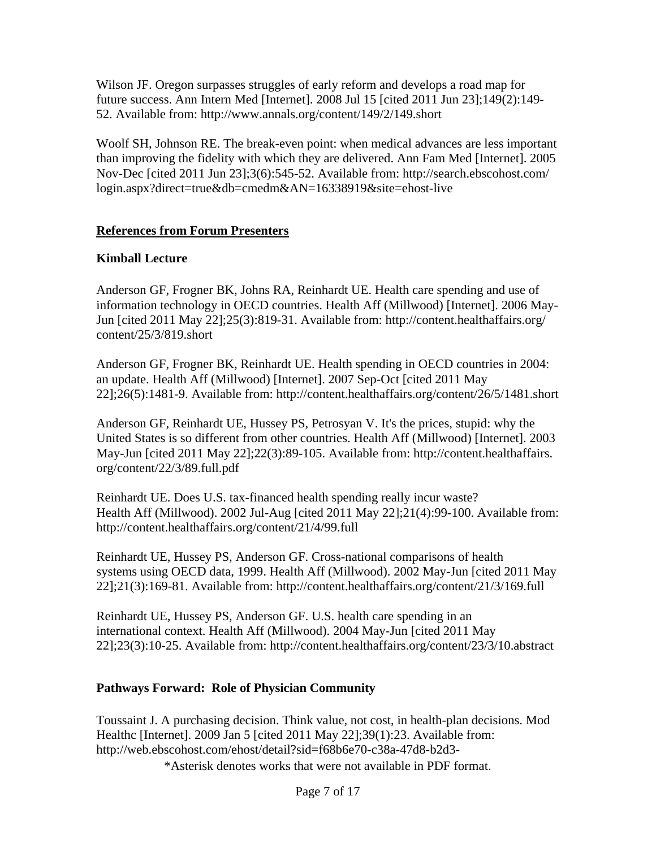Wilson JF. Oregon surpasses struggles of early reform and develops a road map for future success. Ann Intern Med [Internet]. 2008 Jul 15 [cited 2011 Jun 23];149(2):149- 52. Available from: http://www.annals.org/content/149/2/149.short

Woolf SH, Johnson RE. The break-even point: when medical advances are less important than improving the fidelity with which they are delivered. Ann Fam Med [Internet]. 2005 Nov-Dec [cited 2011 Jun 23];3(6):545-52. Available from: http://search.ebscohost.com/ login.aspx?direct=true&db=cmedm&AN=16338919&site=ehost-live

#### **References from Forum Presenters**

### **Kimball Lecture**

Anderson GF, Frogner BK, Johns RA, Reinhardt UE. Health care spending and use of information technology in OECD countries. Health Aff (Millwood) [Internet]. 2006 May-Jun [cited 2011 May 22];25(3):819-31. Available from: http://content.healthaffairs.org/ content/25/3/819.short

Anderson GF, Frogner BK, Reinhardt UE. Health spending in OECD countries in 2004: an update. Health Aff (Millwood) [Internet]. 2007 Sep-Oct [cited 2011 May 22];26(5):1481-9. Available from: http://content.healthaffairs.org/content/26/5/1481.short

Anderson GF, Reinhardt UE, Hussey PS, Petrosyan V. It's the prices, stupid: why the United States is so different from other countries. Health Aff (Millwood) [Internet]. 2003 May-Jun [cited 2011 May 22];22(3):89-105. Available from: http://content.healthaffairs. org/content/22/3/89.full.pdf

Reinhardt UE. Does U.S. tax-financed health spending really incur waste? Health Aff (Millwood). 2002 Jul-Aug [cited 2011 May 22];21(4):99-100. Available from: http://content.healthaffairs.org/content/21/4/99.full

Reinhardt UE, Hussey PS, Anderson GF. Cross-national comparisons of health systems using OECD data, 1999. Health Aff (Millwood). 2002 May-Jun [cited 2011 May 22];21(3):169-81. Available from: http://content.healthaffairs.org/content/21/3/169.full

Reinhardt UE, Hussey PS, Anderson GF. U.S. health care spending in an international context. Health Aff (Millwood). 2004 May-Jun [cited 2011 May 22];23(3):10-25. Available from: http://content.healthaffairs.org/content/23/3/10.abstract

#### **Pathways Forward: Role of Physician Community**

Toussaint J. A purchasing decision. Think value, not cost, in health-plan decisions. Mod Healthc [Internet]. 2009 Jan 5 [cited 2011 May 22];39(1):23. Available from: http://web.ebscohost.com/ehost/detail?sid=f68b6e70-c38a-47d8-b2d3-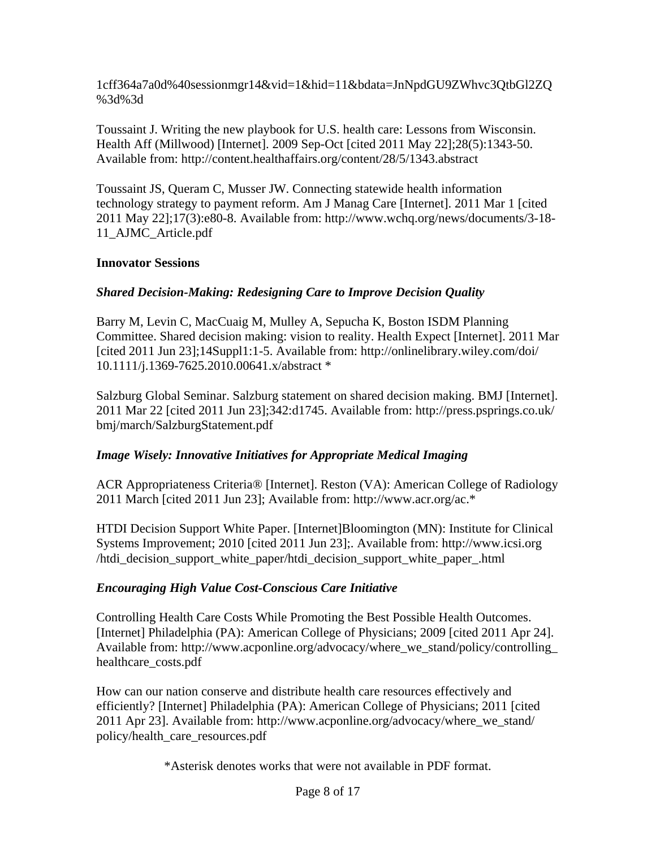1cff364a7a0d%40sessionmgr14&vid=1&hid=11&bdata=JnNpdGU9ZWhvc3QtbGl2ZQ %3d%3d

Toussaint J. Writing the new playbook for U.S. health care: Lessons from Wisconsin. Health Aff (Millwood) [Internet]. 2009 Sep-Oct [cited 2011 May 22];28(5):1343-50. Available from: http://content.healthaffairs.org/content/28/5/1343.abstract

Toussaint JS, Queram C, Musser JW. Connecting statewide health information technology strategy to payment reform. Am J Manag Care [Internet]. 2011 Mar 1 [cited 2011 May 22];17(3):e80-8. Available from: http://www.wchq.org/news/documents/3-18- 11\_AJMC\_Article.pdf

### **Innovator Sessions**

## *Shared Decision-Making: Redesigning Care to Improve Decision Quality*

Barry M, Levin C, MacCuaig M, Mulley A, Sepucha K, Boston ISDM Planning Committee. Shared decision making: vision to reality. Health Expect [Internet]. 2011 Mar [cited 2011 Jun 23];14Suppl1:1-5. Available from: http://onlinelibrary.wiley.com/doi/ 10.1111/j.1369-7625.2010.00641.x/abstract \*

Salzburg Global Seminar. Salzburg statement on shared decision making. BMJ [Internet]. 2011 Mar 22 [cited 2011 Jun 23];342:d1745. Available from: http://press.psprings.co.uk/ bmj/march/SalzburgStatement.pdf

## *Image Wisely: Innovative Initiatives for Appropriate Medical Imaging*

ACR Appropriateness Criteria® [Internet]. Reston (VA): American College of Radiology 2011 March [cited 2011 Jun 23]; Available from: http://www.acr.org/ac.\*

HTDI Decision Support White Paper. [Internet]Bloomington (MN): Institute for Clinical Systems Improvement; 2010 [cited 2011 Jun 23];. Available from: http://www.icsi.org /htdi\_decision\_support\_white\_paper/htdi\_decision\_support\_white\_paper\_.html

## *Encouraging High Value Cost-Conscious Care Initiative*

Controlling Health Care Costs While Promoting the Best Possible Health Outcomes. [Internet] Philadelphia (PA): American College of Physicians; 2009 [cited 2011 Apr 24]. Available from: http://www.acponline.org/advocacy/where\_we\_stand/policy/controlling\_ healthcare\_costs.pdf

How can our nation conserve and distribute health care resources effectively and efficiently? [Internet] Philadelphia (PA): American College of Physicians; 2011 [cited 2011 Apr 23]. Available from: http://www.acponline.org/advocacy/where\_we\_stand/ policy/health\_care\_resources.pdf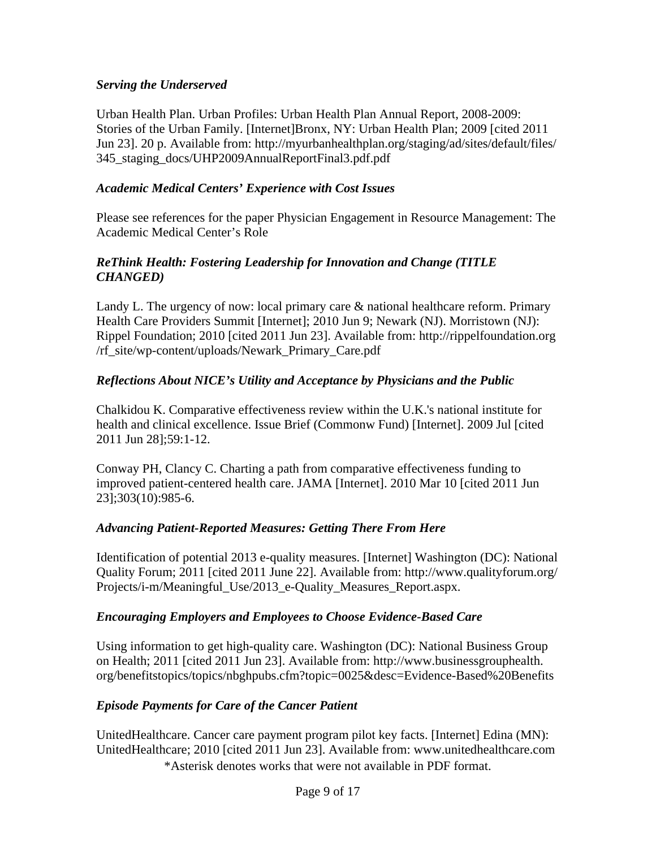#### *Serving the Underserved*

Urban Health Plan. Urban Profiles: Urban Health Plan Annual Report, 2008-2009: Stories of the Urban Family. [Internet]Bronx, NY: Urban Health Plan; 2009 [cited 2011 Jun 23]. 20 p. Available from: http://myurbanhealthplan.org/staging/ad/sites/default/files/ 345\_staging\_docs/UHP2009AnnualReportFinal3.pdf.pdf

### *Academic Medical Centers' Experience with Cost Issues*

Please see references for the paper Physician Engagement in Resource Management: The Academic Medical Center's Role

### *ReThink Health: Fostering Leadership for Innovation and Change (TITLE CHANGED)*

Landy L. The urgency of now: local primary care & national healthcare reform. Primary Health Care Providers Summit [Internet]; 2010 Jun 9; Newark (NJ). Morristown (NJ): Rippel Foundation; 2010 [cited 2011 Jun 23]. Available from: http://rippelfoundation.org /rf\_site/wp-content/uploads/Newark\_Primary\_Care.pdf

## *Reflections About NICE's Utility and Acceptance by Physicians and the Public*

Chalkidou K. Comparative effectiveness review within the U.K.'s national institute for health and clinical excellence. Issue Brief (Commonw Fund) [Internet]. 2009 Jul [cited 2011 Jun 28];59:1-12.

Conway PH, Clancy C. Charting a path from comparative effectiveness funding to improved patient-centered health care. JAMA [Internet]. 2010 Mar 10 [cited 2011 Jun 23];303(10):985-6.

#### *Advancing Patient-Reported Measures: Getting There From Here*

Identification of potential 2013 e-quality measures. [Internet] Washington (DC): National Quality Forum; 2011 [cited 2011 June 22]. Available from: http://www.qualityforum.org/ Projects/i-m/Meaningful\_Use/2013\_e-Quality\_Measures\_Report.aspx.

#### *Encouraging Employers and Employees to Choose Evidence-Based Care*

Using information to get high-quality care. Washington (DC): National Business Group on Health; 2011 [cited 2011 Jun 23]. Available from: http://www.businessgrouphealth. org/benefitstopics/topics/nbghpubs.cfm?topic=0025&desc=Evidence-Based%20Benefits

## *Episode Payments for Care of the Cancer Patient*

\*Asterisk denotes works that were not available in PDF format. UnitedHealthcare. Cancer care payment program pilot key facts. [Internet] Edina (MN): UnitedHealthcare; 2010 [cited 2011 Jun 23]. Available from: www.unitedhealthcare.com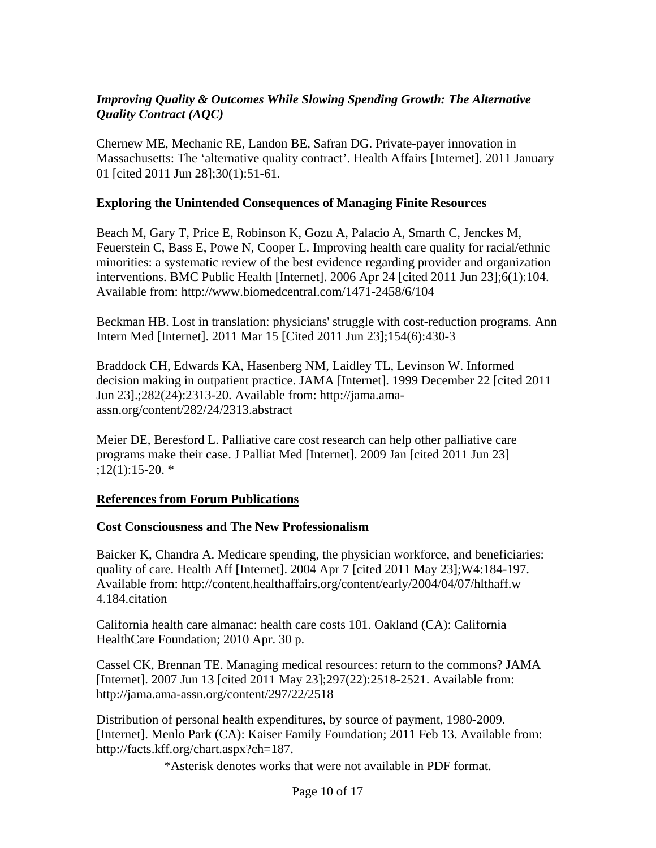### *Improving Quality & Outcomes While Slowing Spending Growth: The Alternative Quality Contract (AQC)*

Chernew ME, Mechanic RE, Landon BE, Safran DG. Private-payer innovation in Massachusetts: The 'alternative quality contract'. Health Affairs [Internet]. 2011 January 01 [cited 2011 Jun 28];30(1):51-61.

#### **Exploring the Unintended Consequences of Managing Finite Resources**

Beach M, Gary T, Price E, Robinson K, Gozu A, Palacio A, Smarth C, Jenckes M, Feuerstein C, Bass E, Powe N, Cooper L. Improving health care quality for racial/ethnic minorities: a systematic review of the best evidence regarding provider and organization interventions. BMC Public Health [Internet]. 2006 Apr 24 [cited 2011 Jun 23];6(1):104. Available from: http://www.biomedcentral.com/1471-2458/6/104

Beckman HB. Lost in translation: physicians' struggle with cost-reduction programs. Ann Intern Med [Internet]. 2011 Mar 15 [Cited 2011 Jun 23];154(6):430-3

Braddock CH, Edwards KA, Hasenberg NM, Laidley TL, Levinson W. Informed decision making in outpatient practice. JAMA [Internet]. 1999 December 22 [cited 2011 Jun 23].;282(24):2313-20. Available from: http://jama.amaassn.org/content/282/24/2313.abstract

Meier DE, Beresford L. Palliative care cost research can help other palliative care programs make their case. J Palliat Med [Internet]. 2009 Jan [cited 2011 Jun 23] ;12(1):15-20. \*

#### **References from Forum Publications**

#### **Cost Consciousness and The New Professionalism**

Baicker K, Chandra A. Medicare spending, the physician workforce, and beneficiaries: quality of care. Health Aff [Internet]. 2004 Apr 7 [cited 2011 May 23];W4:184-197. Available from: http://content.healthaffairs.org/content/early/2004/04/07/hlthaff.w 4.184.citation

California health care almanac: health care costs 101. Oakland (CA): California HealthCare Foundation; 2010 Apr. 30 p.

Cassel CK, Brennan TE. Managing medical resources: return to the commons? JAMA [Internet]. 2007 Jun 13 [cited 2011 May 23];297(22):2518-2521. Available from: http://jama.ama-assn.org/content/297/22/2518

Distribution of personal health expenditures, by source of payment, 1980-2009. [Internet]. Menlo Park (CA): Kaiser Family Foundation; 2011 Feb 13. Available from: http://facts.kff.org/chart.aspx?ch=187.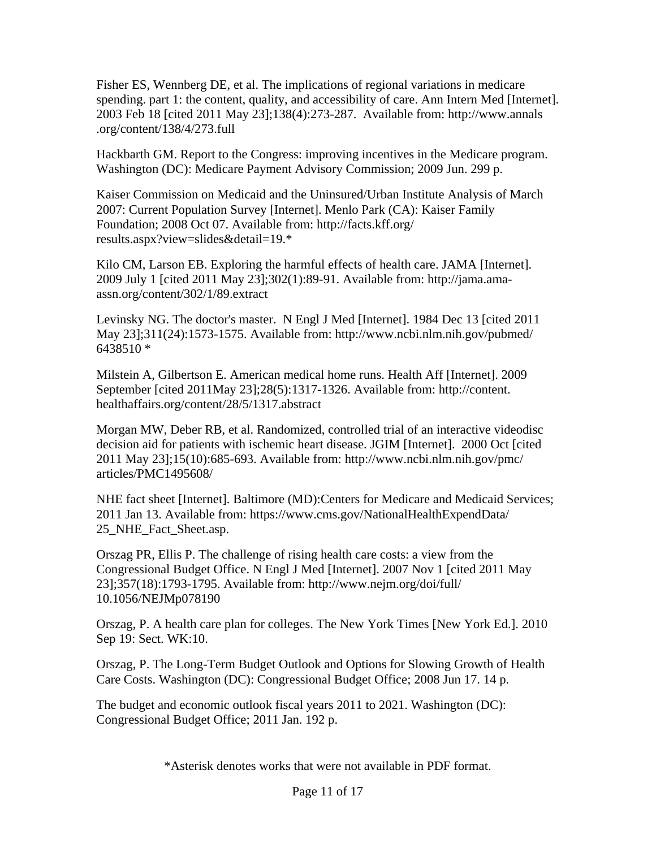Fisher ES, Wennberg DE, et al. The implications of regional variations in medicare spending. part 1: the content, quality, and accessibility of care. Ann Intern Med [Internet]. 2003 Feb 18 [cited 2011 May 23];138(4):273-287. Available from: http://www.annals .org/content/138/4/273.full

Hackbarth GM. Report to the Congress: improving incentives in the Medicare program. Washington (DC): Medicare Payment Advisory Commission; 2009 Jun. 299 p.

Kaiser Commission on Medicaid and the Uninsured/Urban Institute Analysis of March 2007: Current Population Survey [Internet]. Menlo Park (CA): Kaiser Family Foundation; 2008 Oct 07. Available from: http://facts.kff.org/ results.aspx?view=slides&detail=19.\*

Kilo CM, Larson EB. Exploring the harmful effects of health care. JAMA [Internet]. 2009 July 1 [cited 2011 May 23];302(1):89-91. Available from: http://jama.amaassn.org/content/302/1/89.extract

Levinsky NG. The doctor's master. N Engl J Med [Internet]. 1984 Dec 13 [cited 2011 May 23];311(24):1573-1575. Available from: http://www.ncbi.nlm.nih.gov/pubmed/ 6438510 \*

Milstein A, Gilbertson E. American medical home runs. Health Aff [Internet]. 2009 September [cited 2011May 23];28(5):1317-1326. Available from: http://content. healthaffairs.org/content/28/5/1317.abstract

Morgan MW, Deber RB, et al. Randomized, controlled trial of an interactive videodisc decision aid for patients with ischemic heart disease. JGIM [Internet]. 2000 Oct [cited 2011 May 23];15(10):685-693. Available from: http://www.ncbi.nlm.nih.gov/pmc/ articles/PMC1495608/

NHE fact sheet [Internet]. Baltimore (MD):Centers for Medicare and Medicaid Services; 2011 Jan 13. Available from: https://www.cms.gov/NationalHealthExpendData/ 25\_NHE\_Fact\_Sheet.asp.

Orszag PR, Ellis P. The challenge of rising health care costs: a view from the Congressional Budget Office. N Engl J Med [Internet]. 2007 Nov 1 [cited 2011 May 23];357(18):1793-1795. Available from: http://www.nejm.org/doi/full/ 10.1056/NEJMp078190

Orszag, P. A health care plan for colleges. The New York Times [New York Ed.]. 2010 Sep 19: Sect. WK:10.

Orszag, P. The Long-Term Budget Outlook and Options for Slowing Growth of Health Care Costs. Washington (DC): Congressional Budget Office; 2008 Jun 17. 14 p.

The budget and economic outlook fiscal years 2011 to 2021. Washington (DC): Congressional Budget Office; 2011 Jan. 192 p.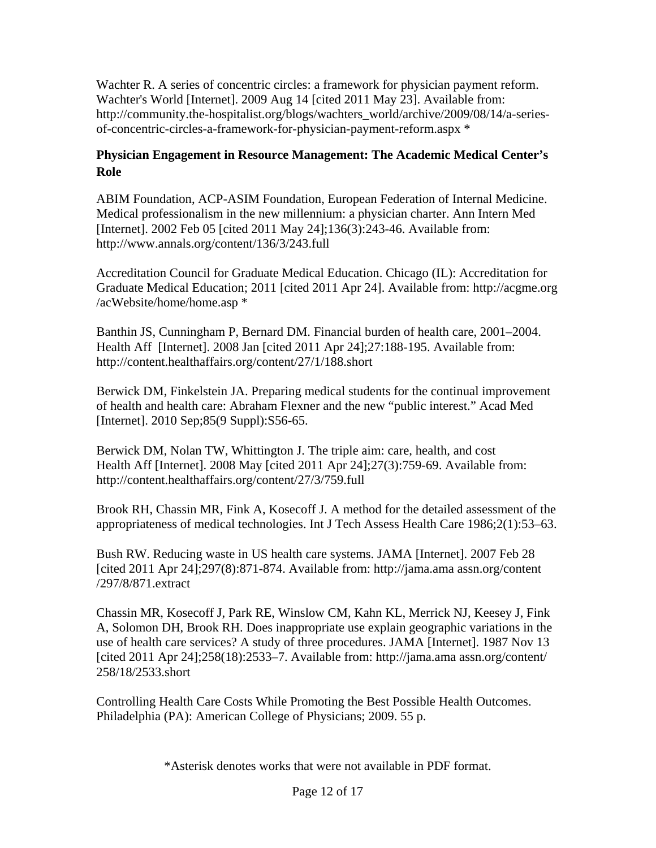Wachter R. A series of concentric circles: a framework for physician payment reform. Wachter's World [Internet]. 2009 Aug 14 [cited 2011 May 23]. Available from: http://community.the-hospitalist.org/blogs/wachters\_world/archive/2009/08/14/a-seriesof-concentric-circles-a-framework-for-physician-payment-reform.aspx \*

## **Physician Engagement in Resource Management: The Academic Medical Center's Role**

ABIM Foundation, ACP-ASIM Foundation, European Federation of Internal Medicine. Medical professionalism in the new millennium: a physician charter. Ann Intern Med [Internet]. 2002 Feb 05 [cited 2011 May 24];136(3):243-46. Available from: http://www.annals.org/content/136/3/243.full

Accreditation Council for Graduate Medical Education. Chicago (IL): Accreditation for Graduate Medical Education; 2011 [cited 2011 Apr 24]. Available from: http://acgme.org /acWebsite/home/home.asp \*

Banthin JS, Cunningham P, Bernard DM. Financial burden of health care, 2001–2004. Health Aff [Internet]. 2008 Jan [cited 2011 Apr 24];27:188-195. Available from: http://content.healthaffairs.org/content/27/1/188.short

Berwick DM, Finkelstein JA. Preparing medical students for the continual improvement of health and health care: Abraham Flexner and the new "public interest." Acad Med [Internet]. 2010 Sep; 85(9 Suppl): S56-65.

Berwick DM, Nolan TW, Whittington J. The triple aim: care, health, and cost Health Aff [Internet]. 2008 May [cited 2011 Apr 24];27(3):759-69. Available from: http://content.healthaffairs.org/content/27/3/759.full

Brook RH, Chassin MR, Fink A, Kosecoff J. A method for the detailed assessment of the appropriateness of medical technologies. Int J Tech Assess Health Care 1986;2(1):53–63.

Bush RW. Reducing waste in US health care systems. JAMA [Internet]. 2007 Feb 28 [cited 2011 Apr 24];297(8):871-874. Available from: http://jama.ama assn.org/content /297/8/871.extract

Chassin MR, Kosecoff J, Park RE, Winslow CM, Kahn KL, Merrick NJ, Keesey J, Fink A, Solomon DH, Brook RH. Does inappropriate use explain geographic variations in the use of health care services? A study of three procedures. JAMA [Internet]. 1987 Nov 13 [cited 2011 Apr 24];258(18):2533–7. Available from: http://jama.ama assn.org/content/ 258/18/2533.short

Controlling Health Care Costs While Promoting the Best Possible Health Outcomes. Philadelphia (PA): American College of Physicians; 2009. 55 p.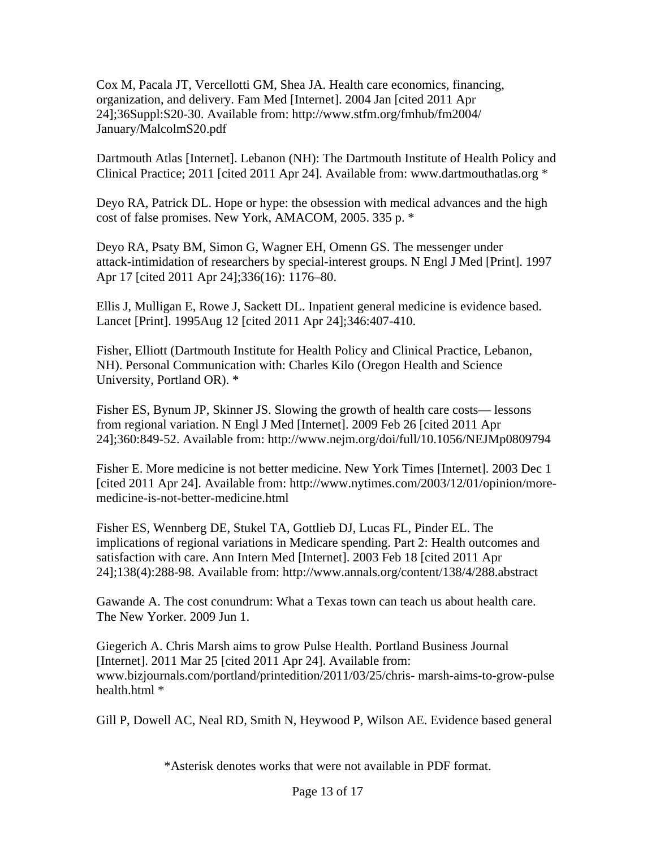Cox M, Pacala JT, Vercellotti GM, Shea JA. Health care economics, financing, organization, and delivery. Fam Med [Internet]. 2004 Jan [cited 2011 Apr 24];36Suppl:S20-30. Available from: http://www.stfm.org/fmhub/fm2004/ January/MalcolmS20.pdf

Dartmouth Atlas [Internet]. Lebanon (NH): The Dartmouth Institute of Health Policy and Clinical Practice; 2011 [cited 2011 Apr 24]. Available from: www.dartmouthatlas.org \*

Deyo RA, Patrick DL. Hope or hype: the obsession with medical advances and the high cost of false promises. New York, AMACOM, 2005. 335 p. \*

Deyo RA, Psaty BM, Simon G, Wagner EH, Omenn GS. The messenger under attack-intimidation of researchers by special-interest groups. N Engl J Med [Print]. 1997 Apr 17 [cited 2011 Apr 24];336(16): 1176–80.

Ellis J, Mulligan E, Rowe J, Sackett DL. Inpatient general medicine is evidence based. Lancet [Print]. 1995Aug 12 [cited 2011 Apr 24];346:407-410.

Fisher, Elliott (Dartmouth Institute for Health Policy and Clinical Practice, Lebanon, NH). Personal Communication with: Charles Kilo (Oregon Health and Science University, Portland OR). \*

Fisher ES, Bynum JP, Skinner JS. Slowing the growth of health care costs— lessons from regional variation. N Engl J Med [Internet]. 2009 Feb 26 [cited 2011 Apr 24];360:849-52. Available from: http://www.nejm.org/doi/full/10.1056/NEJMp0809794

Fisher E. More medicine is not better medicine. New York Times [Internet]. 2003 Dec 1 [cited 2011 Apr 24]. Available from: http://www.nytimes.com/2003/12/01/opinion/moremedicine-is-not-better-medicine.html

Fisher ES, Wennberg DE, Stukel TA, Gottlieb DJ, Lucas FL, Pinder EL. The implications of regional variations in Medicare spending. Part 2: Health outcomes and satisfaction with care. Ann Intern Med [Internet]. 2003 Feb 18 [cited 2011 Apr 24];138(4):288-98. Available from: http://www.annals.org/content/138/4/288.abstract

Gawande A. The cost conundrum: What a Texas town can teach us about health care. The New Yorker. 2009 Jun 1.

Giegerich A. Chris Marsh aims to grow Pulse Health. Portland Business Journal [Internet]. 2011 Mar 25 [cited 2011 Apr 24]. Available from: www.bizjournals.com/portland/printedition/2011/03/25/chris- marsh-aims-to-grow-pulse health.html \*

Gill P, Dowell AC, Neal RD, Smith N, Heywood P, Wilson AE. Evidence based general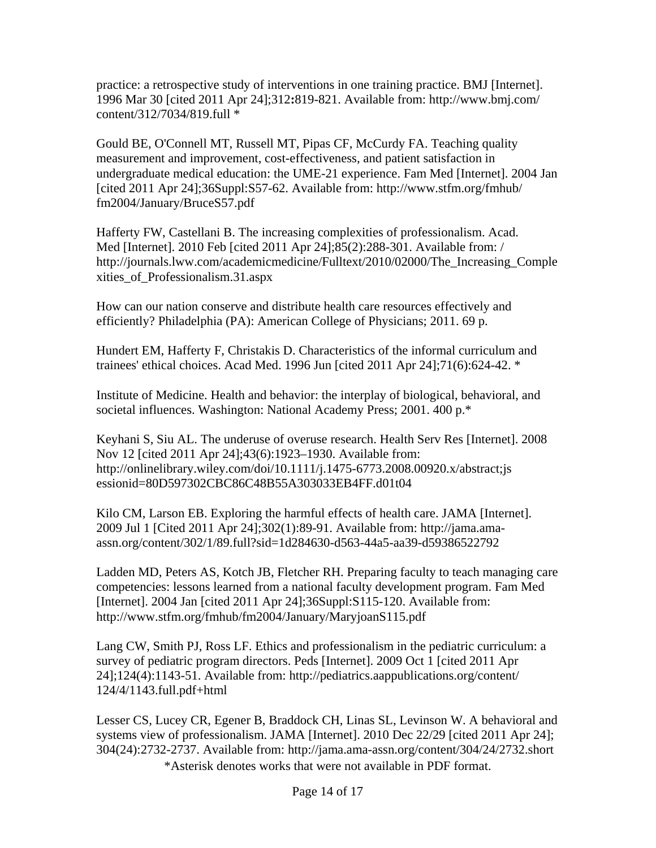practice: a retrospective study of interventions in one training practice. BMJ [Internet]. 1996 Mar 30 [cited 2011 Apr 24];312**:**819-821. Available from: http://www.bmj.com/ content/312/7034/819.full \*

Gould BE, O'Connell MT, Russell MT, Pipas CF, McCurdy FA. Teaching quality measurement and improvement, cost-effectiveness, and patient satisfaction in undergraduate medical education: the UME-21 experience. Fam Med [Internet]. 2004 Jan [cited 2011 Apr 24];36Suppl:S57-62. Available from: http://www.stfm.org/fmhub/ fm2004/January/BruceS57.pdf

Hafferty FW, Castellani B. The increasing complexities of professionalism. Acad. Med [Internet]. 2010 Feb [cited 2011 Apr 24];85(2):288-301. Available from: / http://journals.lww.com/academicmedicine/Fulltext/2010/02000/The\_Increasing\_Comple xities\_of\_Professionalism.31.aspx

How can our nation conserve and distribute health care resources effectively and efficiently? Philadelphia (PA): American College of Physicians; 2011. 69 p.

Hundert EM, Hafferty F, Christakis D. Characteristics of the informal curriculum and trainees' ethical choices. Acad Med. 1996 Jun [cited 2011 Apr 24];71(6):624-42. \*

Institute of Medicine. Health and behavior: the interplay of biological, behavioral, and societal influences. Washington: National Academy Press; 2001. 400 p.\*

Keyhani S, Siu AL. The underuse of overuse research. Health Serv Res [Internet]. 2008 Nov 12 [cited 2011 Apr 24];43(6):1923–1930. Available from: http://onlinelibrary.wiley.com/doi/10.1111/j.1475-6773.2008.00920.x/abstract;js essionid=80D597302CBC86C48B55A303033EB4FF.d01t04

Kilo CM, Larson EB. Exploring the harmful effects of health care. JAMA [Internet]. 2009 Jul 1 [Cited 2011 Apr 24];302(1):89-91. Available from: http://jama.amaassn.org/content/302/1/89.full?sid=1d284630-d563-44a5-aa39-d59386522792

Ladden MD, Peters AS, Kotch JB, Fletcher RH. Preparing faculty to teach managing care competencies: lessons learned from a national faculty development program. Fam Med [Internet]. 2004 Jan [cited 2011 Apr 24];36Suppl:S115-120. Available from: http://www.stfm.org/fmhub/fm2004/January/MaryjoanS115.pdf

Lang CW, Smith PJ, Ross LF. Ethics and professionalism in the pediatric curriculum: a survey of pediatric program directors. Peds [Internet]. 2009 Oct 1 [cited 2011 Apr 24];124(4):1143-51. Available from: http://pediatrics.aappublications.org/content/ 124/4/1143.full.pdf+html

\*Asterisk denotes works that were not available in PDF format. Lesser CS, Lucey CR, Egener B, Braddock CH, Linas SL, Levinson W. A behavioral and systems view of professionalism. JAMA [Internet]. 2010 Dec 22/29 [cited 2011 Apr 24]; 304(24):2732-2737. Available from: http://jama.ama-assn.org/content/304/24/2732.short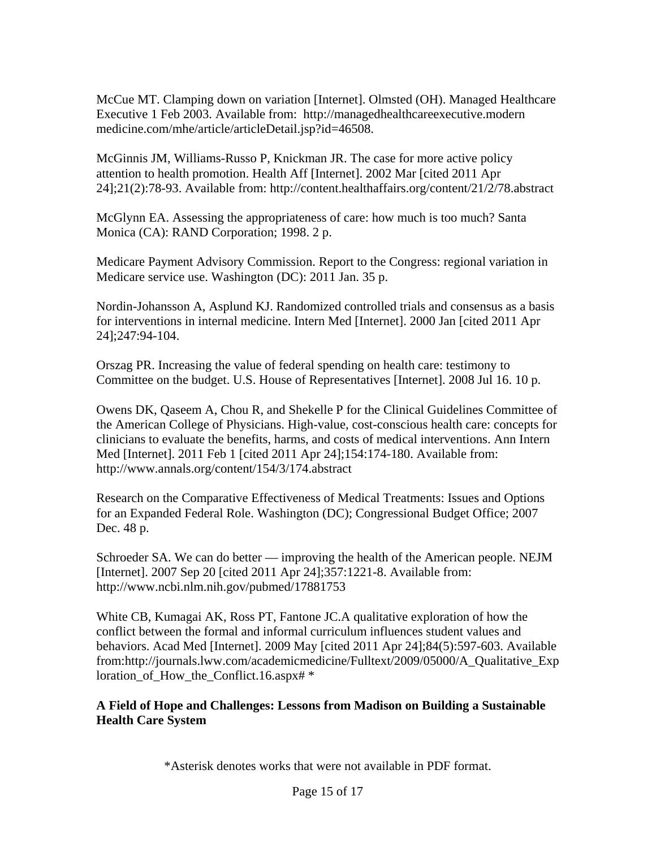McCue MT. Clamping down on variation [Internet]. Olmsted (OH). Managed Healthcare Executive 1 Feb 2003. Available from: http://managedhealthcareexecutive.modern medicine.com/mhe/article/articleDetail.jsp?id=46508.

McGinnis JM, Williams-Russo P, Knickman JR. The case for more active policy attention to health promotion. Health Aff [Internet]. 2002 Mar [cited 2011 Apr 24];21(2):78-93. Available from: http://content.healthaffairs.org/content/21/2/78.abstract

McGlynn EA. Assessing the appropriateness of care: how much is too much? Santa Monica (CA): RAND Corporation; 1998. 2 p.

Medicare Payment Advisory Commission. Report to the Congress: regional variation in Medicare service use. Washington (DC): 2011 Jan. 35 p.

Nordin-Johansson A, Asplund KJ. Randomized controlled trials and consensus as a basis for interventions in internal medicine. Intern Med [Internet]. 2000 Jan [cited 2011 Apr 24];247:94-104.

Orszag PR. Increasing the value of federal spending on health care: testimony to Committee on the budget. U.S. House of Representatives [Internet]. 2008 Jul 16. 10 p.

Owens DK, Qaseem A, Chou R, and Shekelle P for the Clinical Guidelines Committee of the American College of Physicians. High-value, cost-conscious health care: concepts for clinicians to evaluate the benefits, harms, and costs of medical interventions. Ann Intern Med [Internet]. 2011 Feb 1 [cited 2011 Apr 24];154:174-180. Available from: http://www.annals.org/content/154/3/174.abstract

Research on the Comparative Effectiveness of Medical Treatments: Issues and Options for an Expanded Federal Role. Washington (DC); Congressional Budget Office; 2007 Dec. 48 p.

Schroeder SA. We can do better — improving the health of the American people. NEJM [Internet]. 2007 Sep 20 [cited 2011 Apr 24];357:1221-8. Available from: http://www.ncbi.nlm.nih.gov/pubmed/17881753

White CB, Kumagai AK, Ross PT, Fantone JC.A qualitative exploration of how the conflict between the formal and informal curriculum influences student values and behaviors. Acad Med [Internet]. 2009 May [cited 2011 Apr 24];84(5):597-603. Available from:http://journals.lww.com/academicmedicine/Fulltext/2009/05000/A\_Qualitative\_Exp loration\_of\_How\_the\_Conflict.16.aspx#  $*$ 

#### **A Field of Hope and Challenges: Lessons from Madison on Building a Sustainable Health Care System**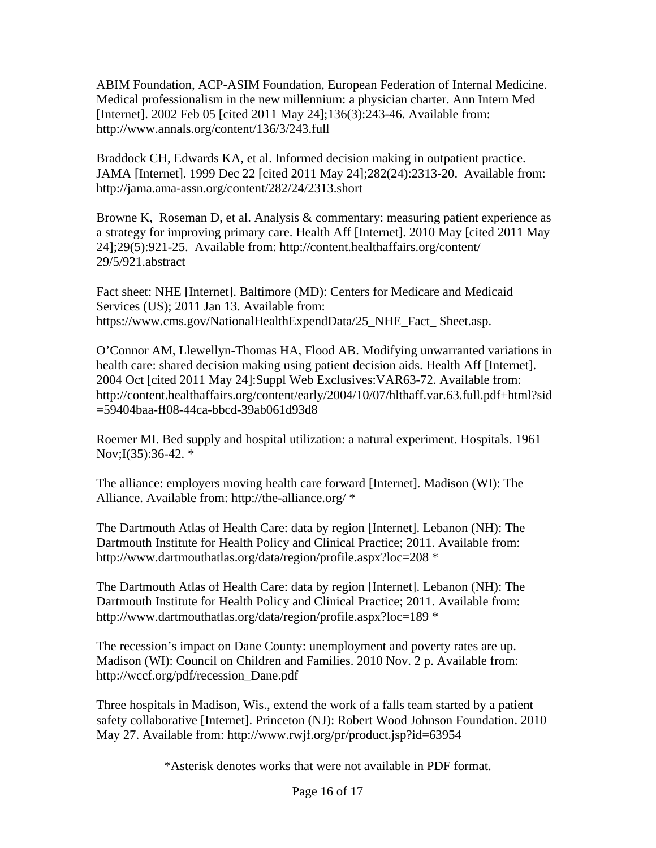ABIM Foundation, ACP-ASIM Foundation, European Federation of Internal Medicine. Medical professionalism in the new millennium: a physician charter. Ann Intern Med [Internet]. 2002 Feb 05 [cited 2011 May 24];136(3):243-46. Available from: http://www.annals.org/content/136/3/243.full

Braddock CH, Edwards KA, et al. Informed decision making in outpatient practice. JAMA [Internet]. 1999 Dec 22 [cited 2011 May 24];282(24):2313-20. Available from: http://jama.ama-assn.org/content/282/24/2313.short

Browne K, Roseman D, et al. Analysis & commentary: measuring patient experience as a strategy for improving primary care. Health Aff [Internet]. 2010 May [cited 2011 May 24];29(5):921-25. Available from: http://content.healthaffairs.org/content/ 29/5/921.abstract

Fact sheet: NHE [Internet]. Baltimore (MD): Centers for Medicare and Medicaid Services (US); 2011 Jan 13. Available from: https://www.cms.gov/NationalHealthExpendData/25 NHE Fact Sheet.asp.

O'Connor AM, Llewellyn-Thomas HA, Flood AB. Modifying unwarranted variations in health care: shared decision making using patient decision aids. Health Aff [Internet]. 2004 Oct [cited 2011 May 24]:Suppl Web Exclusives:VAR63-72. Available from: http://content.healthaffairs.org/content/early/2004/10/07/hlthaff.var.63.full.pdf+html?sid =59404baa-ff08-44ca-bbcd-39ab061d93d8

Roemer MI. Bed supply and hospital utilization: a natural experiment. Hospitals. 1961 Nov;I(35):36-42. \*

The alliance: employers moving health care forward [Internet]. Madison (WI): The Alliance. Available from: http://the-alliance.org/ \*

The Dartmouth Atlas of Health Care: data by region [Internet]. Lebanon (NH): The Dartmouth Institute for Health Policy and Clinical Practice; 2011. Available from: http://www.dartmouthatlas.org/data/region/profile.aspx?loc=208 \*

The Dartmouth Atlas of Health Care: data by region [Internet]. Lebanon (NH): The Dartmouth Institute for Health Policy and Clinical Practice; 2011. Available from: http://www.dartmouthatlas.org/data/region/profile.aspx?loc=189 \*

The recession's impact on Dane County: unemployment and poverty rates are up. Madison (WI): Council on Children and Families. 2010 Nov. 2 p. Available from: http://wccf.org/pdf/recession\_Dane.pdf

Three hospitals in Madison, Wis., extend the work of a falls team started by a patient safety collaborative [Internet]. Princeton (NJ): Robert Wood Johnson Foundation. 2010 May 27. Available from: http://www.rwjf.org/pr/product.jsp?id=63954